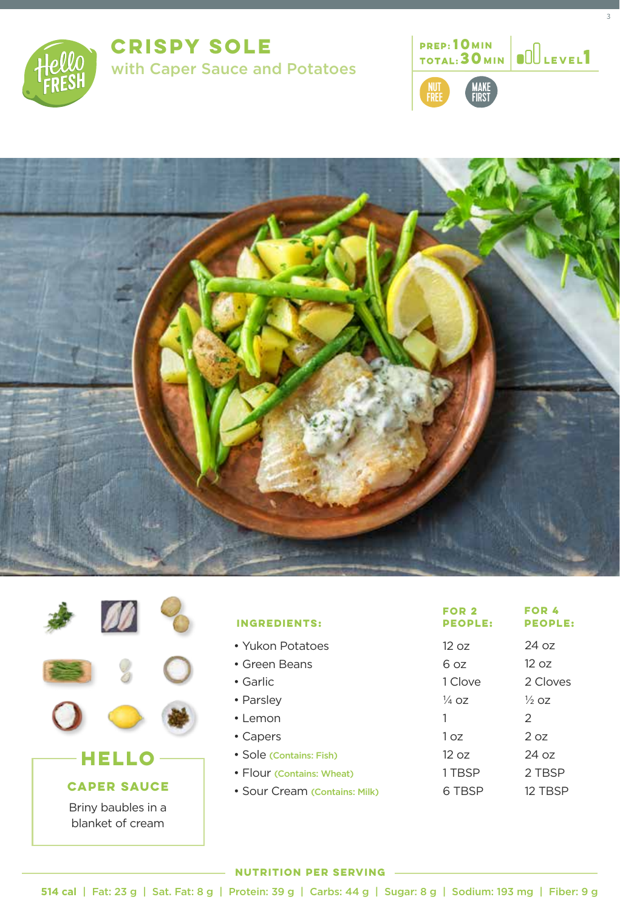

**CRISPY SOLE**  with Caper Sauce and Potatoes **<sup>1</sup>**



3





| <b>HELLO</b>                           |  |  |  |
|----------------------------------------|--|--|--|
| <b>CAPER SAUCE</b>                     |  |  |  |
| Briny baubles in a<br>blanket of cream |  |  |  |

| <b>INGREDIENTS:</b>           | FOR <sub>2</sub><br><b>PEOPLE:</b> | <b>FOR 4</b><br><b>PEOPLE:</b> |
|-------------------------------|------------------------------------|--------------------------------|
| • Yukon Potatoes              | 12 oz                              | $24 \text{ oz}$                |
| • Green Beans                 | ნ იჳ                               | 12 oz                          |
| $\bullet$ Garlic              | 1 Clove                            | 2 Cloves                       |
| • Parsley                     | $\frac{1}{4}$ 07                   | $\frac{1}{2}$ 07               |
| $\cdot$   emon                | 1                                  | $\mathcal{P}$                  |
| • Capers                      | 1 כה                               | 207                            |
| • Sole (Contains: Fish)       | 1207                               | $24 \text{ oz}$                |
| • Flour (Contains: Wheat)     | 1 TBSP                             | 2 TBSP                         |
| • Sour Cream (Contains: Milk) | 6 TBSP                             | 12 TBSP                        |